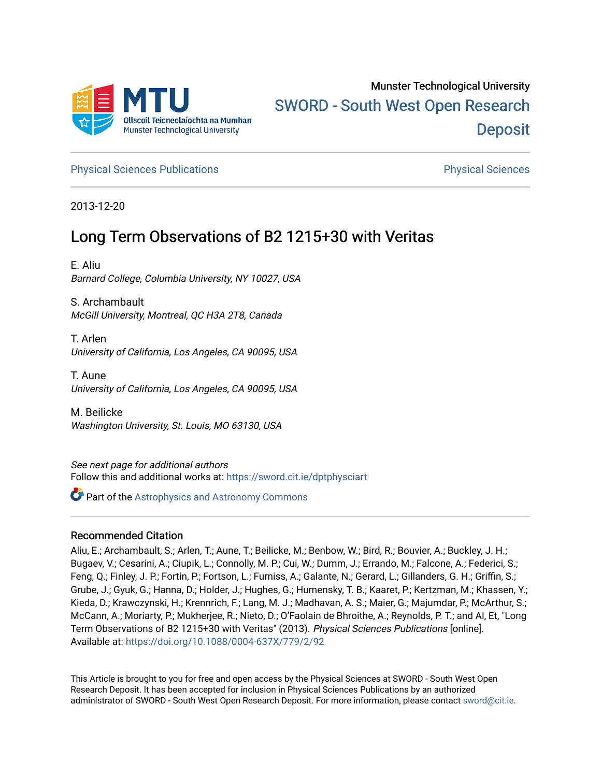

[Physical Sciences Publications](https://sword.cit.ie/dptphysciart) [Physical Sciences](https://sword.cit.ie/dptphysci) 

2013-12-20

# Long Term Observations of B2 1215+30 with Veritas

E. Aliu Barnard College, Columbia University, NY 10027, USA

S. Archambault McGill University, Montreal, QC H3A 2T8, Canada

T. Arlen University of California, Los Angeles, CA 90095, USA

T. Aune University of California, Los Angeles, CA 90095, USA

M. Beilicke Washington University, St. Louis, MO 63130, USA

See next page for additional authors Follow this and additional works at: [https://sword.cit.ie/dptphysciart](https://sword.cit.ie/dptphysciart?utm_source=sword.cit.ie%2Fdptphysciart%2F4&utm_medium=PDF&utm_campaign=PDFCoverPages)

**Part of the Astrophysics and Astronomy Commons** 

# Recommended Citation

Aliu, E.; Archambault, S.; Arlen, T.; Aune, T.; Beilicke, M.; Benbow, W.; Bird, R.; Bouvier, A.; Buckley, J. H.; Bugaev, V.; Cesarini, A.; Ciupik, L.; Connolly, M. P.; Cui, W.; Dumm, J.; Errando, M.; Falcone, A.; Federici, S.; Feng, Q.; Finley, J. P.; Fortin, P.; Fortson, L.; Furniss, A.; Galante, N.; Gerard, L.; Gillanders, G. H.; Griffin, S.; Grube, J.; Gyuk, G.; Hanna, D.; Holder, J.; Hughes, G.; Humensky, T. B.; Kaaret, P.; Kertzman, M.; Khassen, Y.; Kieda, D.; Krawczynski, H.; Krennrich, F.; Lang, M. J.; Madhavan, A. S.; Maier, G.; Majumdar, P.; McArthur, S.; McCann, A.; Moriarty, P.; Mukherjee, R.; Nieto, D.; O'Faolain de Bhroithe, A.; Reynolds, P. T.; and Al, Et, "Long Term Observations of B2 1215+30 with Veritas" (2013). Physical Sciences Publications [online]. Available at:<https://doi.org/10.1088/0004-637X/779/2/92>

This Article is brought to you for free and open access by the Physical Sciences at SWORD - South West Open Research Deposit. It has been accepted for inclusion in Physical Sciences Publications by an authorized administrator of SWORD - South West Open Research Deposit. For more information, please contact [sword@cit.ie.](mailto:sword@cit.ie)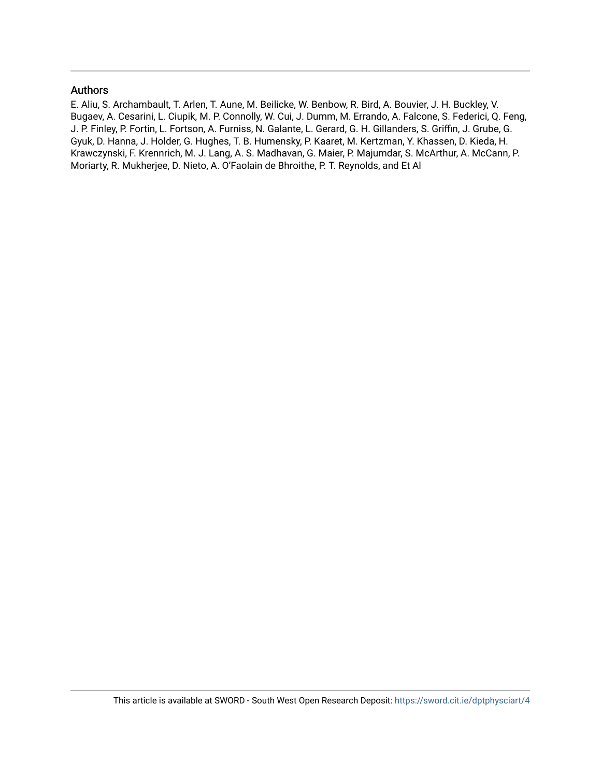# Authors

E. Aliu, S. Archambault, T. Arlen, T. Aune, M. Beilicke, W. Benbow, R. Bird, A. Bouvier, J. H. Buckley, V. Bugaev, A. Cesarini, L. Ciupik, M. P. Connolly, W. Cui, J. Dumm, M. Errando, A. Falcone, S. Federici, Q. Feng, J. P. Finley, P. Fortin, L. Fortson, A. Furniss, N. Galante, L. Gerard, G. H. Gillanders, S. Griffin, J. Grube, G. Gyuk, D. Hanna, J. Holder, G. Hughes, T. B. Humensky, P. Kaaret, M. Kertzman, Y. Khassen, D. Kieda, H. Krawczynski, F. Krennrich, M. J. Lang, A. S. Madhavan, G. Maier, P. Majumdar, S. McArthur, A. McCann, P. Moriarty, R. Mukherjee, D. Nieto, A. O'Faolain de Bhroithe, P. T. Reynolds, and Et Al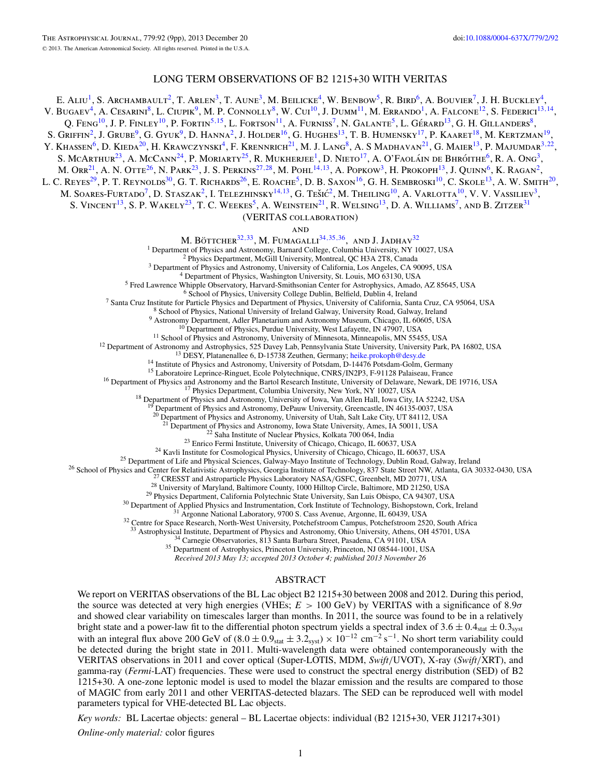# LONG TERM OBSERVATIONS OF B2 1215+30 WITH VERITAS

E. ALIU<sup>1</sup>, S. Archambault<sup>2</sup>, T. Arlen<sup>3</sup>, T. Aune<sup>3</sup>, M. Beilicke<sup>4</sup>, W. Benbow<sup>5</sup>, R. Bird<sup>6</sup>, A. Bouvier<sup>7</sup>, J. H. Buckley<sup>4</sup>, V. Bugaev<sup>4</sup>, A. Cesarini<sup>8</sup>, L. Ciupik<sup>9</sup>, M. P. Connolly<sup>8</sup>, W. Cui<sup>10</sup>, J. Dumm<sup>11</sup>, M. Errando<sup>1</sup>, A. Falcone<sup>12</sup>, S. Federici<sup>13,14</sup>, Q. Feng<sup>10</sup>, J. P. Finley<sup>10</sup>, P. Fortin<sup>5,15</sup>, L. Fortson<sup>11</sup>, A. Furniss<sup>7</sup>, N. Galante<sup>5</sup>, L. Gérard<sup>13</sup>, G. H. Gillanders<sup>8</sup>, S. Griffin<sup>2</sup>, J. Grube<sup>9</sup>, G. Gyuk<sup>9</sup>, D. Hanna<sup>2</sup>, J. Holder<sup>16</sup>, G. Hughes<sup>13</sup>, T. B. Humensky<sup>17</sup>, P. Kaaret<sup>18</sup>, M. Kertzman<sup>19</sup>, Y. Khassen<sup>6</sup>, D. Kieda<sup>20</sup>, H. Krawczynski<sup>4</sup>, F. Krennrich<sup>21</sup>, M. J. Lang<sup>8</sup>, A. S Madhavan<sup>21</sup>, G. Maier<sup>13</sup>, P. Majumdar<sup>3,22</sup>, S. McArthur<sup>23</sup>, A. McCann<sup>24</sup>, P. Moriarty<sup>25</sup>, R. Mukherjee<sup>1</sup>, D. Nieto<sup>17</sup>, A. O'Faoláin de Bhróithe<sup>6</sup>, R. A. Ong<sup>3</sup>, M. Orr<sup>21</sup>, A. N. Otte<sup>26</sup>, N. Park<sup>23</sup>, J. S. Perkins<sup>27,28</sup>, M. Pohl<sup>14,13</sup>, A. Popkow<sup>3</sup>, H. Prokoph<sup>13</sup>, J. Quinn<sup>6</sup>, K. Ragan<sup>2</sup>, L. C. Reyes<sup>29</sup>, P. T. Reynolds<sup>30</sup>, G. T. Richards<sup>26</sup>, E. Roache<sup>5</sup>, D. B. Saxon<sup>16</sup>, G. H. Sembroski<sup>10</sup>, C. Skole<sup>13</sup>, A. W. Smith<sup>20</sup>, M. SOARES-FURTADO<sup>7</sup>, D. STASZAK<sup>2</sup>, I. TELEZHINSKY<sup>14,13</sup>, G. TEŠIĆ<sup>2</sup>, M. THEILING<sup>10</sup>, A. VARLOTTA<sup>10</sup>, V. V. VASSILIEV<sup>3</sup>, S. VINCENT<sup>13</sup>, S. P. WAKELY<sup>23</sup>, T. C. WEEKES<sup>5</sup>, A. WEINSTEIN<sup>21</sup>, R. WELSING<sup>13</sup>, D. A. WILLIAMS<sup>7</sup>, AND B. ZITZER<sup>31</sup> (VERITAS collaboration) **AND** M. BÖTTCHER<sup>32,33</sup>, M. FUMAGALLI<sup>34,35,[36](#page-3-0)</sup>, AND J. JADHAV<sup>32</sup><br><sup>1</sup> Department of Physics and Astronomy, Barnard College, Columbia University, NY 10027, USA 1 Department of Physics and Astronomy, Barnard College, Columbia University, NY 10027, USA<br>
<sup>2</sup> Physics Department of Physics and Astronomy, University of California, Los Angeles, CA 90095, USA<br>
<sup>3</sup> Department of Physics, <sup>18</sup> Department of Physics and Astronomy, University of Iowa, Van Allen Hall, Iowa City, IA 52242, USA<br><sup>19</sup> Department of Physics and Astronomy, DePauw University, Greencastle, IN 46135-0037, USA <sup>20</sup> Department of Physics and Astronomy, University of Utah, Salt Lake City, UT 84112, USA <sup>21</sup> Department of Physics and Astronomy, Iowa State University, Ames, IA 50011, USA <sup>21</sup> Department of Physics and Astronomy, Iowa State University, Ames, IA 50011, USA<br><sup>22</sup> Department of Nusical Physics, Kolkata 700 064, India<br><sup>22</sup> Saha Institute of Nuclear Physics, Kolkata 700 064, India<br><sup>23</sup> Emiro Fer <sup>32</sup> Centre for Space Research, North-West University, Potchefstroom Campus, Potchefstroom 2520, South Africa<br><sup>33</sup> Astrophysical Institute, Department of Physics and Astronomy, Ohio University, Athens, OH 45701, USA<br><sup>34</sup>

*Received 2013 May 13; accepted 2013 October 4; published 2013 November 26*

### ABSTRACT

We report on VERITAS observations of the BL Lac object B2 1215+30 between 2008 and 2012. During this period, the source was detected at very high energies (VHEs; *E >* 100 GeV) by VERITAS with a significance of 8*.*9*σ* and showed clear variability on timescales larger than months. In 2011, the source was found to be in a relatively bright state and a power-law fit to the differential photon spectrum yields a spectral index of  $3.6 \pm 0.4$ <sub>stat</sub>  $\pm 0.3$ <sub>syst</sub> with an integral flux above 200 GeV of  $(8.0 \pm 0.9<sub>stat</sub> \pm 3.2<sub>syst</sub>) \times 10<sup>-12</sup>$  cm<sup>-2</sup> s<sup>-1</sup>. No short term variability could be detected during the bright state in 2011. Multi-wavelength data were obtained contemporaneously with the VERITAS observations in 2011 and cover optical (Super-LOTIS, MDM, *Swift/*UVOT), X-ray (*Swift/*XRT), and gamma-ray (*Fermi*-LAT) frequencies. These were used to construct the spectral energy distribution (SED) of B2 1215+30. A one-zone leptonic model is used to model the blazar emission and the results are compared to those of MAGIC from early 2011 and other VERITAS-detected blazars. The SED can be reproduced well with model parameters typical for VHE-detected BL Lac objects.

*Key words:* BL Lacertae objects: general – BL Lacertae objects: individual (B2 1215+30, VER J1217+301)

*Online-only material:* color figures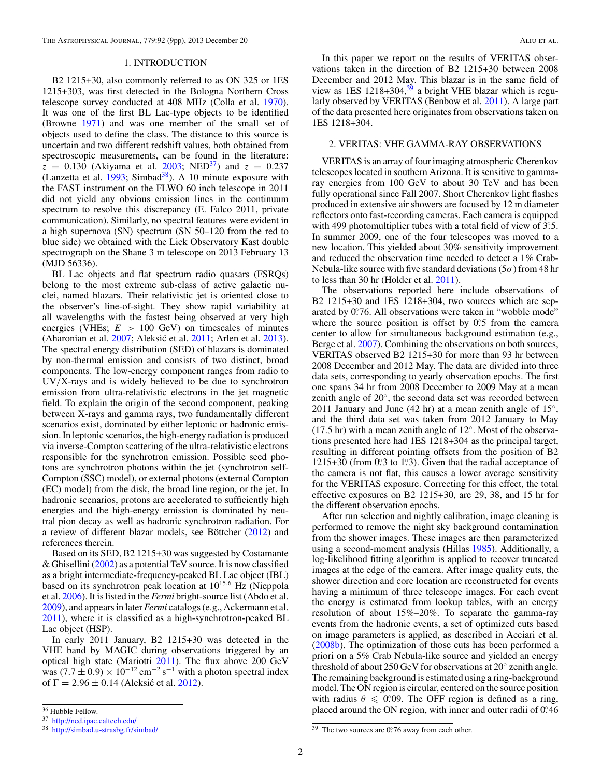## 1. INTRODUCTION

<span id="page-3-0"></span>B2 1215+30, also commonly referred to as ON 325 or 1ES 1215+303, was first detected in the Bologna Northern Cross telescope survey conducted at 408 MHz (Colla et al. [1970\)](#page-10-0). It was one of the first BL Lac-type objects to be identified (Browne [1971\)](#page-10-0) and was one member of the small set of objects used to define the class. The distance to this source is uncertain and two different redshift values, both obtained from spectroscopic measurements, can be found in the literature:  $z = 0.130$  (Akiyama et al. [2003;](#page-10-0) NED<sup>37</sup>) and  $z = 0.237$ (Lanzetta et al.  $1993$ ; Simbad<sup>38</sup>). A 10 minute exposure with the FAST instrument on the FLWO 60 inch telescope in 2011 did not yield any obvious emission lines in the continuum spectrum to resolve this discrepancy (E. Falco 2011, private communication). Similarly, no spectral features were evident in a high supernova (SN) spectrum (SN 50–120 from the red to blue side) we obtained with the Lick Observatory Kast double spectrograph on the Shane 3 m telescope on 2013 February 13 (MJD 56336).

BL Lac objects and flat spectrum radio quasars (FSRQs) belong to the most extreme sub-class of active galactic nuclei, named blazars. Their relativistic jet is oriented close to the observer's line-of-sight. They show rapid variability at all wavelengths with the fastest being observed at very high energies (VHEs;  $E > 100$  GeV) on timescales of minutes (Aharonian et al. [2007;](#page-10-0) Aleksić et al. [2011;](#page-10-0) Arlen et al. [2013\)](#page-10-0). The spectral energy distribution (SED) of blazars is dominated by non-thermal emission and consists of two distinct, broad components. The low-energy component ranges from radio to UV*/*X-rays and is widely believed to be due to synchrotron emission from ultra-relativistic electrons in the jet magnetic field. To explain the origin of the second component, peaking between X-rays and gamma rays, two fundamentally different scenarios exist, dominated by either leptonic or hadronic emission. In leptonic scenarios, the high-energy radiation is produced via inverse-Compton scattering of the ultra-relativistic electrons responsible for the synchrotron emission. Possible seed photons are synchrotron photons within the jet (synchrotron self-Compton (SSC) model), or external photons (external Compton (EC) model) from the disk, the broad line region, or the jet. In hadronic scenarios, protons are accelerated to sufficiently high energies and the high-energy emission is dominated by neutral pion decay as well as hadronic synchrotron radiation. For a review of different blazar models, see Böttcher  $(2012)$  $(2012)$  and references therein.

Based on its SED, B2 1215+30 was suggested by Costamante & Ghisellini [\(2002\)](#page-10-0) as a potential TeV source. It is now classified as a bright intermediate-frequency-peaked BL Lac object (IBL) based on its synchrotron peak location at 10<sup>15</sup>*.*<sup>6</sup> Hz (Nieppola et al. [2006\)](#page-10-0). It is listed in the *Fermi* bright-source list (Abdo et al. [2009\)](#page-10-0), and appears in later *Fermi* catalogs (e.g., Ackermann et al. [2011\)](#page-10-0), where it is classified as a high-synchrotron-peaked BL Lac object (HSP).

In early 2011 January, B2 1215+30 was detected in the VHE band by MAGIC during observations triggered by an optical high state (Mariotti [2011\)](#page-10-0). The flux above 200 GeV was (7.7  $\pm$  0.9) × 10<sup>-12</sup> cm<sup>-2</sup> s<sup>-1</sup> with a photon spectral index of Γ = 2.96 ± 0.14 (Aleksić et al. [2012\)](#page-10-0).

In this paper we report on the results of VERITAS observations taken in the direction of B2 1215+30 between 2008 December and 2012 May. This blazar is in the same field of view as  $1ES$  1218+304,<sup>39</sup> a bright VHE blazar which is regularly observed by VERITAS (Benbow et al. [2011\)](#page-10-0). A large part of the data presented here originates from observations taken on 1ES 1218+304.

## 2. VERITAS: VHE GAMMA-RAY OBSERVATIONS

VERITAS is an array of four imaging atmospheric Cherenkov telescopes located in southern Arizona. It is sensitive to gammaray energies from 100 GeV to about 30 TeV and has been fully operational since Fall 2007. Short Cherenkov light flashes produced in extensive air showers are focused by 12 m diameter reflectors onto fast-recording cameras. Each camera is equipped with 499 photomultiplier tubes with a total field of view of 3°.5. In summer 2009, one of the four telescopes was moved to a new location. This yielded about 30% sensitivity improvement and reduced the observation time needed to detect a 1% Crab-Nebula-like source with five standard deviations (5*σ*) from 48 hr to less than 30 hr (Holder et al. [2011\)](#page-10-0).

The observations reported here include observations of B2 1215+30 and 1ES 1218+304, two sources which are separated by 0°.76. All observations were taken in "wobble mode" where the source position is offset by  $0.5$  from the camera center to allow for simultaneous background estimation (e.g., Berge et al. [2007\)](#page-10-0). Combining the observations on both sources, VERITAS observed B2 1215+30 for more than 93 hr between 2008 December and 2012 May. The data are divided into three data sets, corresponding to yearly observation epochs. The first one spans 34 hr from 2008 December to 2009 May at a mean zenith angle of 20◦, the second data set was recorded between 2011 January and June (42 hr) at a mean zenith angle of  $15^\circ$ , and the third data set was taken from 2012 January to May (17.5 hr) with a mean zenith angle of 12◦. Most of the observations presented here had 1ES 1218+304 as the principal target, resulting in different pointing offsets from the position of B2 1215+30 (from 0°.3 to 1°.3). Given that the radial acceptance of the camera is not flat, this causes a lower average sensitivity for the VERITAS exposure. Correcting for this effect, the total effective exposures on B2 1215+30, are 29, 38, and 15 hr for the different observation epochs.

After run selection and nightly calibration, image cleaning is performed to remove the night sky background contamination from the shower images. These images are then parameterized using a second-moment analysis (Hillas [1985\)](#page-10-0). Additionally, a log-likelihood fitting algorithm is applied to recover truncated images at the edge of the camera. After image quality cuts, the shower direction and core location are reconstructed for events having a minimum of three telescope images. For each event the energy is estimated from lookup tables, with an energy resolution of about 15%–20%. To separate the gamma-ray events from the hadronic events, a set of optimized cuts based on image parameters is applied, as described in Acciari et al. [\(2008b\)](#page-10-0). The optimization of those cuts has been performed a priori on a 5% Crab Nebula-like source and yielded an energy threshold of about 250 GeV for observations at 20◦ zenith angle. The remaining background is estimated using a ring-background model. The ON region is circular, centered on the source position with radius  $\theta \le 0.09$ . The OFF region is defined as a ring, placed around the ON region, with inner and outer radii of 0.46

<sup>36</sup> Hubble Fellow.

<sup>37</sup> <http://ned.ipac.caltech.edu/>

<sup>38</sup> <http://simbad.u-strasbg.fr/simbad/>

<sup>&</sup>lt;sup>39</sup> The two sources are 0°.76 away from each other.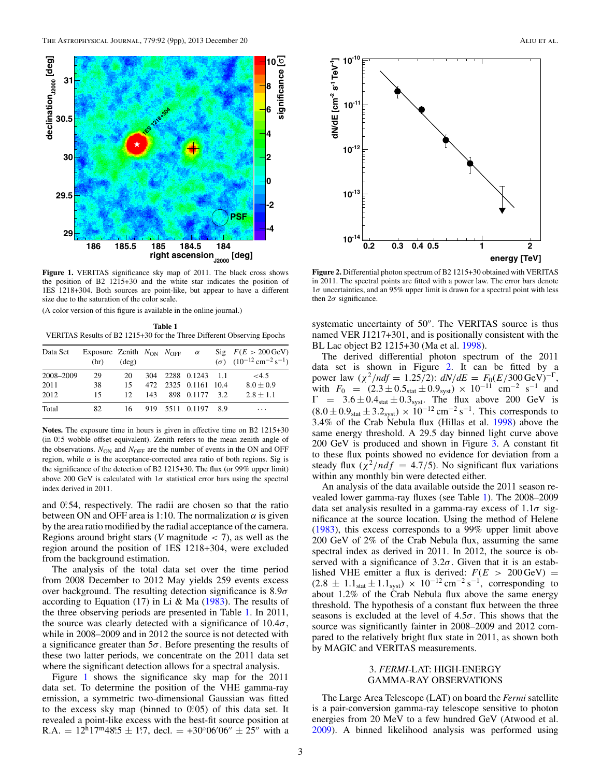

**Figure 1.** VERITAS significance sky map of 2011. The black cross shows the position of B2 1215+30 and the white star indicates the position of 1ES 1218+304. Both sources are point-like, but appear to have a different size due to the saturation of the color scale.

(A color version of this figure is available in the online journal.)

**Table 1** VERITAS Results of B2 1215+30 for the Three Different Observing Epochs

| Data Set  | Exposure Zenith $N_{ON}$ $N_{OFF}$ $\alpha$<br>(hr) | $(\text{deg})$  |  |                      | Sig $F(E > 200 \,\text{GeV})$<br>( $\sigma$ ) $(10^{-12} \text{ cm}^{-2} \text{ s}^{-1})$ |
|-----------|-----------------------------------------------------|-----------------|--|----------------------|-------------------------------------------------------------------------------------------|
| 2008-2009 | 29                                                  | 20              |  | 304 2288 0.1243 1.1  | <4.5                                                                                      |
| 2011      | 38                                                  | 15              |  | 472 2325 0.1161 10.4 | $8.0 \pm 0.9$                                                                             |
| 2012      | 15                                                  | 12 <sub>1</sub> |  | 143 898 0.1177 3.2   | $2.8 \pm 1.1$                                                                             |
| Total     | 82                                                  | 16.             |  | 919 5511 0.1197 8.9  | $\cdots$                                                                                  |

**Notes.** The exposure time in hours is given in effective time on B2 1215+30 (in 0°.5 wobble offset equivalent). Zenith refers to the mean zenith angle of the observations.  $N_{\text{ON}}$  and  $N_{\text{OFF}}$  are the number of events in the ON and OFF region, while  $\alpha$  is the acceptance-corrected area ratio of both regions. Sig is the significance of the detection of B2 1215+30. The flux (or 99% upper limit) above 200 GeV is calculated with  $1\sigma$  statistical error bars using the spectral index derived in 2011.

and 0.54, respectively. The radii are chosen so that the ratio between ON and OFF area is 1:10. The normalization  $\alpha$  is given by the area ratio modified by the radial acceptance of the camera. Regions around bright stars (*V* magnitude *<* 7), as well as the region around the position of 1ES 1218+304, were excluded from the background estimation.

The analysis of the total data set over the time period from 2008 December to 2012 May yields 259 events excess over background. The resulting detection significance is 8*.*9*σ* according to Equation  $(17)$  in Li & Ma  $(1983)$ . The results of the three observing periods are presented in Table 1. In 2011, the source was clearly detected with a significance of  $10.4\sigma$ , while in 2008–2009 and in 2012 the source is not detected with a significance greater than 5*σ*. Before presenting the results of these two latter periods, we concentrate on the 2011 data set where the significant detection allows for a spectral analysis.

Figure 1 shows the significance sky map for the 2011 data set. To determine the position of the VHE gamma-ray emission, a symmetric two-dimensional Gaussian was fitted to the excess sky map (binned to 0.05) of this data set. It revealed a point-like excess with the best-fit source position at R.A. =  $12^{h}17^{m}48.5 \pm 1.7$ , decl. =  $+30^{\circ}06'06'' \pm 25''$  with a



**Figure 2.** Differential photon spectrum of B2 1215+30 obtained with VERITAS in 2011. The spectral points are fitted with a power law. The error bars denote 1*σ* uncertainties, and an 95% upper limit is drawn for a spectral point with less then  $2\sigma$  significance.

systematic uncertainty of 50". The VERITAS source is thus named VER J1217+301, and is positionally consistent with the BL Lac object B2 1215+30 (Ma et al. [1998\)](#page-10-0).

The derived differential photon spectrum of the 2011 data set is shown in Figure 2. It can be fitted by a power law  $(\chi^2/ndf = 1.25/2)$ :  $dN/dE = F_0(E/300 \text{ GeV})^{-\Gamma}$ , with  $F_0 = (2.3 \pm 0.5<sub>stat</sub> \pm 0.9<sub>syst</sub>) \times 10<sup>-11</sup>$  cm<sup>-2</sup> s<sup>-1</sup> and  $\Gamma$  = 3.6  $\pm$  0.4<sub>stat</sub>  $\pm$  0.3<sub>syst</sub>. The flux above 200 GeV is  $(8.0 \pm 0.9<sub>stat</sub> \pm 3.2<sub>syst</sub>) \times 10<sup>-12</sup>$  cm<sup>-2</sup> s<sup>-1</sup>. This corresponds to 3.4% of the Crab Nebula flux (Hillas et al. [1998\)](#page-10-0) above the same energy threshold. A 29.5 day binned light curve above 200 GeV is produced and shown in Figure [3.](#page-5-0) A constant fit to these flux points showed no evidence for deviation from a steady flux  $(\chi^2/ndf = 4.7/5)$ . No significant flux variations within any monthly bin were detected either.

An analysis of the data available outside the 2011 season revealed lower gamma-ray fluxes (see Table 1). The 2008–2009 data set analysis resulted in a gamma-ray excess of 1*.*1*σ* significance at the source location. Using the method of Helene [\(1983\)](#page-10-0), this excess corresponds to a 99% upper limit above 200 GeV of 2% of the Crab Nebula flux, assuming the same spectral index as derived in 2011. In 2012, the source is observed with a significance of  $3.2\sigma$ . Given that it is an established VHE emitter a flux is derived:  $F(E > 200 \,\text{GeV}) =$  $(2.8 \pm 1.1<sub>stat</sub> \pm 1.1<sub>svst</sub>) \times 10<sup>-12</sup> cm<sup>-2</sup> s<sup>-1</sup>$ , corresponding to about 1.2% of the Crab Nebula flux above the same energy threshold. The hypothesis of a constant flux between the three seasons is excluded at the level of 4*.*5*σ*. This shows that the source was significantly fainter in 2008–2009 and 2012 compared to the relatively bright flux state in 2011, as shown both by MAGIC and VERITAS measurements.

# 3. *FERMI*-LAT: HIGH-ENERGY GAMMA-RAY OBSERVATIONS

The Large Area Telescope (LAT) on board the *Fermi* satellite is a pair-conversion gamma-ray telescope sensitive to photon energies from 20 MeV to a few hundred GeV (Atwood et al. [2009\)](#page-10-0). A binned likelihood analysis was performed using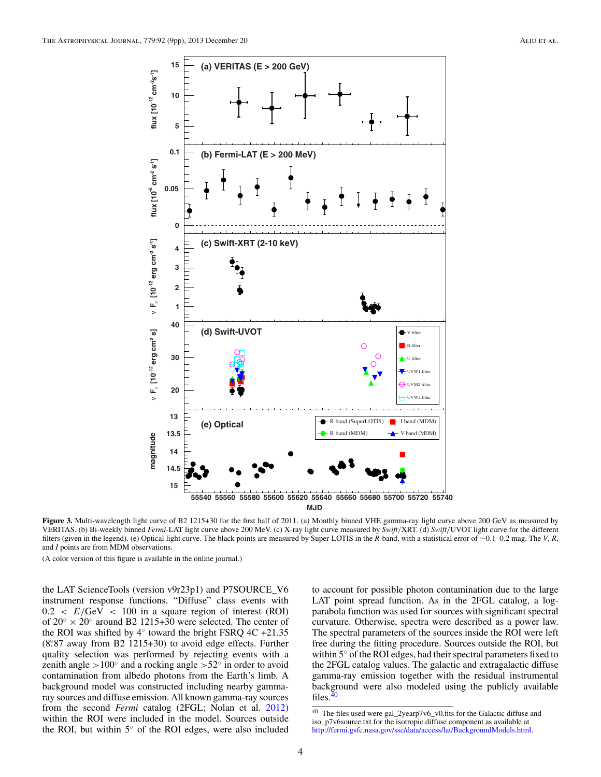<span id="page-5-0"></span>

**Figure 3.** Multi-wavelength light curve of B2 1215+30 for the first half of 2011. (a) Monthly binned VHE gamma-ray light curve above 200 GeV as measured by VERITAS. (b) Bi-weekly binned *Fermi*-LAT light curve above 200 MeV. (c) X-ray light curve measured by *Swift/*XRT. (d) *Swift/*UVOT light curve for the different filters (given in the legend). (e) Optical light curve. The black points are measured by Super-LOTIS in the *R*-band, with a statistical error of ∼0*.*1–0*.*2 mag. The *V*, *R*, and *I* points are from MDM observations.

(A color version of this figure is available in the online journal.)

the LAT ScienceTools (version v9r23p1) and P7SOURCE\_V6 instrument response functions. "Diffuse" class events with  $0.2 < E/\text{GeV} < 100$  in a square region of interest (ROI) of  $20° \times 20°$  around B2 1215+30 were selected. The center of the ROI was shifted by  $4°$  toward the bright FSRQ 4C +21.35 (8*.* ◦87 away from B2 1215+30) to avoid edge effects. Further quality selection was performed by rejecting events with a zenith angle *>*100◦ and a rocking angle *>*52◦ in order to avoid contamination from albedo photons from the Earth's limb. A background model was constructed including nearby gammaray sources and diffuse emission. All known gamma-ray sources from the second *Fermi* catalog (2FGL; Nolan et al. [2012\)](#page-10-0) within the ROI were included in the model. Sources outside the ROI, but within 5◦ of the ROI edges, were also included

to account for possible photon contamination due to the large LAT point spread function. As in the 2FGL catalog, a logparabola function was used for sources with significant spectral curvature. Otherwise, spectra were described as a power law. The spectral parameters of the sources inside the ROI were left free during the fitting procedure. Sources outside the ROI, but within 5◦ of the ROI edges, had their spectral parameters fixed to the 2FGL catalog values. The galactic and extragalactic diffuse gamma-ray emission together with the residual instrumental background were also modeled using the publicly available files. $40$ 

<sup>40</sup> The files used were gal\_2yearp7v6\_v0.fits for the Galactic diffuse and iso\_p7v6source.txt for the isotropic diffuse component as available at [http://fermi.gsfc.nasa.gov/ssc/data/access/lat/BackgroundModels.html.](http://fermi.gsfc.nasa.gov/ssc/data/access/lat/BackgroundModels.html)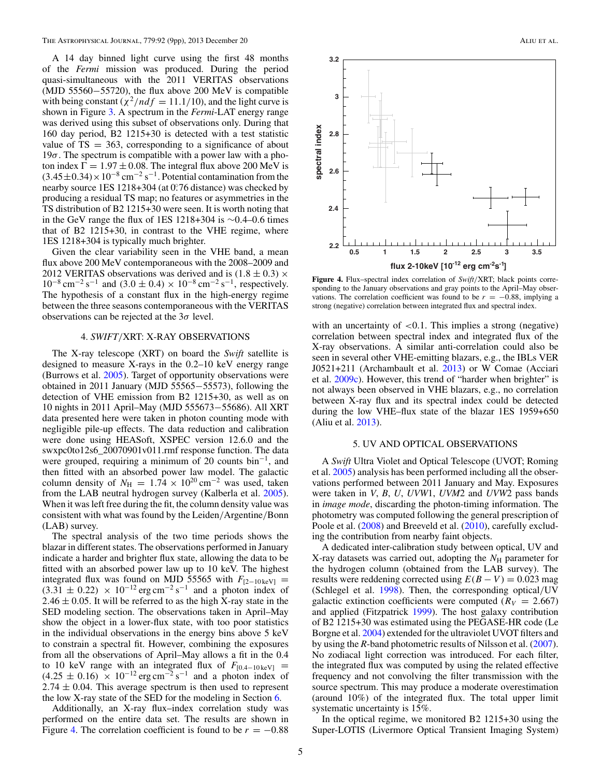A 14 day binned light curve using the first 48 months of the *Fermi* mission was produced. During the period quasi-simultaneous with the 2011 VERITAS observations (MJD 55560−55720), the flux above 200 MeV is compatible with being constant ( $\chi^2/ndf = 11.1/10$ ), and the light curve is shown in Figure [3.](#page-5-0) A spectrum in the *Fermi*-LAT energy range was derived using this subset of observations only. During that 160 day period, B2 1215+30 is detected with a test statistic value of  $TS = 363$ , corresponding to a significance of about  $19\sigma$ . The spectrum is compatible with a power law with a photon index  $\Gamma = 1.97 \pm 0.08$ . The integral flux above 200 MeV is  $(3.45\pm0.34)\times10^{-8}$  cm<sup>-2</sup> s<sup>-1</sup>. Potential contamination from the nearby source 1ES 1218+304 (at 0*.* ◦76 distance) was checked by producing a residual TS map; no features or asymmetries in the TS distribution of B2 1215+30 were seen. It is worth noting that in the GeV range the flux of 1ES 1218+304 is ∼0*.*4–0*.*6 times that of B2 1215+30, in contrast to the VHE regime, where 1ES 1218+304 is typically much brighter.

Given the clear variability seen in the VHE band, a mean flux above 200 MeV contemporaneous with the 2008–2009 and 2012 VERITAS observations was derived and is  $(1.8 \pm 0.3) \times$  $10^{-8}$  cm<sup>-2</sup> s<sup>-1</sup> and (3.0 ± 0.4) × 10<sup>-8</sup> cm<sup>-2</sup> s<sup>-1</sup>, respectively. The hypothesis of a constant flux in the high-energy regime between the three seasons contemporaneous with the VERITAS observations can be rejected at the 3*σ* level.

#### 4. *SWIFT/*XRT: X-RAY OBSERVATIONS

The X-ray telescope (XRT) on board the *Swift* satellite is designed to measure X-rays in the 0*.*2–10 keV energy range (Burrows et al. [2005\)](#page-10-0). Target of opportunity observations were obtained in 2011 January (MJD 55565−55573), following the detection of VHE emission from B2 1215+30, as well as on 10 nights in 2011 April–May (MJD 555673−55686). All XRT data presented here were taken in photon counting mode with negligible pile-up effects. The data reduction and calibration were done using HEASoft, XSPEC version 12.6.0 and the swxpc0to12s6\_20070901v011.rmf response function. The data were grouped, requiring a minimum of 20 counts bin−1, and then fitted with an absorbed power law model. The galactic column density of  $N_H = 1.74 \times 10^{20}$  cm<sup>-2</sup> was used, taken from the LAB neutral hydrogen survey (Kalberla et al. [2005\)](#page-10-0). When it was left free during the fit, the column density value was consistent with what was found by the Leiden*/*Argentine*/*Bonn (LAB) survey.

The spectral analysis of the two time periods shows the blazar in different states. The observations performed in January indicate a harder and brighter flux state, allowing the data to be fitted with an absorbed power law up to 10 keV. The highest integrated flux was found on MJD 55565 with  $F_{[2-10 \text{ keV}]} =$  $(3.31 \pm 0.22) \times 10^{-12}$  erg cm<sup>-2</sup> s<sup>-1</sup> and a photon index of  $2.46 \pm 0.05$ . It will be referred to as the high X-ray state in the SED modeling section. The observations taken in April–May show the object in a lower-flux state, with too poor statistics in the individual observations in the energy bins above 5 keV to constrain a spectral fit. However, combining the exposures from all the observations of April–May allows a fit in the 0.4 to 10 keV range with an integrated flux of  $F_{[0.4-10 \text{ keV}]}$  =  $(4.25 \pm 0.16) \times 10^{-12}$  erg cm<sup>-2</sup> s<sup>-1</sup> and a photon index of  $2.74 \pm 0.04$ . This average spectrum is then used to represent the low X-ray state of the SED for the modeling in Section [6.](#page-7-0)

Additionally, an X-ray flux–index correlation study was performed on the entire data set. The results are shown in Figure 4. The correlation coefficient is found to be  $r = -0.88$ 



**Figure 4.** Flux–spectral index correlation of *Swift/*XRT; black points corresponding to the January observations and gray points to the April–May observations. The correlation coefficient was found to be  $r = -0.88$ , implying a strong (negative) correlation between integrated flux and spectral index.

with an uncertainty of *<*0*.*1. This implies a strong (negative) correlation between spectral index and integrated flux of the X-ray observations. A similar anti-correlation could also be seen in several other VHE-emitting blazars, e.g., the IBLs VER J0521+211 (Archambault et al. [2013\)](#page-10-0) or W Comae (Acciari et al. [2009c\)](#page-10-0). However, this trend of "harder when brighter" is not always been observed in VHE blazars, e.g., no correlation between X-ray flux and its spectral index could be detected during the low VHE–flux state of the blazar 1ES 1959+650 (Aliu et al. [2013\)](#page-10-0).

## 5. UV AND OPTICAL OBSERVATIONS

A *Swift* Ultra Violet and Optical Telescope (UVOT; Roming et al. [2005\)](#page-10-0) analysis has been performed including all the observations performed between 2011 January and May. Exposures were taken in *V*, *B*, *U*, *UVW*1, *UVM*2 and *UVW*2 pass bands in *image mode*, discarding the photon-timing information. The photometry was computed following the general prescription of Poole et al. [\(2008\)](#page-10-0) and Breeveld et al. [\(2010\)](#page-10-0), carefully excluding the contribution from nearby faint objects.

A dedicated inter-calibration study between optical, UV and X-ray datasets was carried out, adopting the  $N_{\rm H}$  parameter for the hydrogen column (obtained from the LAB survey). The results were reddening corrected using  $E(B - V) = 0.023$  mag (Schlegel et al. [1998\)](#page-10-0). Then, the corresponding optical*/*UV galactic extinction coefficients were computed ( $R_V = 2.667$ ) and applied (Fitzpatrick [1999\)](#page-10-0). The host galaxy contribution of B2 1215+30 was estimated using the PEGASE-HR code (Le Borgne et al. [2004\)](#page-10-0) extended for the ultraviolet UVOT filters and by using the *R*-band photometric results of Nilsson et al. [\(2007\)](#page-10-0). No zodiacal light correction was introduced. For each filter, the integrated flux was computed by using the related effective frequency and not convolving the filter transmission with the source spectrum. This may produce a moderate overestimation (around 10%) of the integrated flux. The total upper limit systematic uncertainty is 15%.

In the optical regime, we monitored B2 1215+30 using the Super-LOTIS (Livermore Optical Transient Imaging System)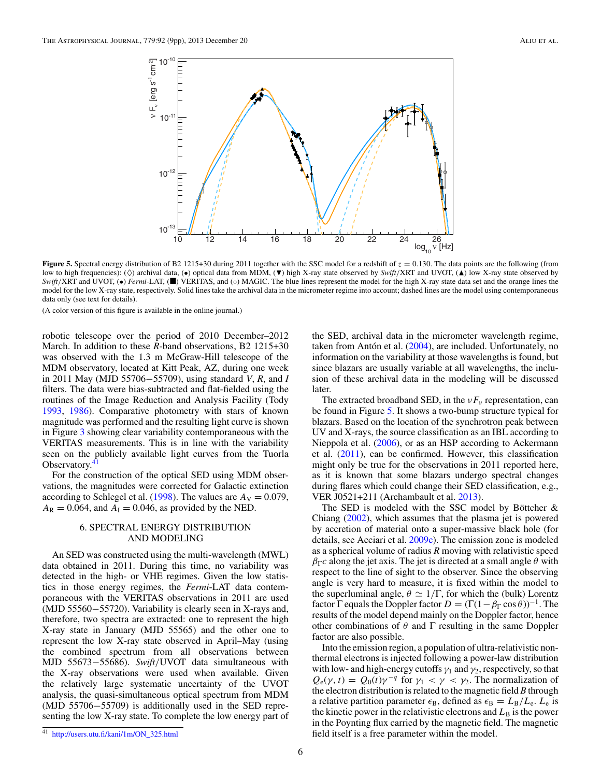<span id="page-7-0"></span>

**Figure 5.** Spectral energy distribution of B2 1215+30 during 2011 together with the SSC model for a redshift of  $z = 0.130$ . The data points are the following (from low to high frequencies): ( $\Diamond$ ) archival data, ( $\bullet$ ) optical data from MDM, ( $\nabla$ ) high X-ray state observed by *Swift*/XRT and UVOT, ( $\triangle$ ) low X-ray state observed by *Swift*/XRT and UVOT, (●) *Fermi*-LAT, (■) VERITAS, and (○) MAGIC. The blue lines represent the model for the high X-ray state data set and the orange lines the model for the low X-ray state, respectively. Solid lines take the archival data in the micrometer regime into account; dashed lines are the model using contemporaneous data only (see text for details).

(A color version of this figure is available in the online journal.)

robotic telescope over the period of 2010 December–2012 March. In addition to these *R*-band observations, B2 1215+30 was observed with the 1.3 m McGraw-Hill telescope of the MDM observatory, located at Kitt Peak, AZ, during one week in 2011 May (MJD 55706−55709), using standard *V*, *R*, and *I* filters. The data were bias-subtracted and flat-fielded using the routines of the Image Reduction and Analysis Facility (Tody [1993,](#page-10-0) [1986\)](#page-10-0). Comparative photometry with stars of known magnitude was performed and the resulting light curve is shown in Figure [3](#page-5-0) showing clear variability contemporaneous with the VERITAS measurements. This is in line with the variability seen on the publicly available light curves from the Tuorla Observatory.<sup>41</sup>

For the construction of the optical SED using MDM observations, the magnitudes were corrected for Galactic extinction according to Schlegel et al. [\(1998\)](#page-10-0). The values are  $A_V = 0.079$ ,  $A_R = 0.064$ , and  $A_I = 0.046$ , as provided by the NED.

# 6. SPECTRAL ENERGY DISTRIBUTION AND MODELING

An SED was constructed using the multi-wavelength (MWL) data obtained in 2011. During this time, no variability was detected in the high- or VHE regimes. Given the low statistics in those energy regimes, the *Fermi*-LAT data contemporaneous with the VERITAS observations in 2011 are used (MJD 55560−55720). Variability is clearly seen in X-rays and, therefore, two spectra are extracted: one to represent the high X-ray state in January (MJD 55565) and the other one to represent the low X-ray state observed in April–May (using the combined spectrum from all observations between MJD 55673−55686). *Swift/*UVOT data simultaneous with the X-ray observations were used when available. Given the relatively large systematic uncertainty of the UVOT analysis, the quasi-simultaneous optical spectrum from MDM (MJD 55706−55709) is additionally used in the SED representing the low X-ray state. To complete the low energy part of

the SED, archival data in the micrometer wavelength regime, taken from Antón et al.  $(2004)$  $(2004)$ , are included. Unfortunately, no information on the variability at those wavelengths is found, but since blazars are usually variable at all wavelengths, the inclusion of these archival data in the modeling will be discussed later.

The extracted broadband SED, in the *νF<sub>ν</sub>* representation, can be found in Figure 5. It shows a two-bump structure typical for blazars. Based on the location of the synchrotron peak between UV and X-rays, the source classification as an IBL according to Nieppola et al. [\(2006\)](#page-10-0), or as an HSP according to Ackermann et al. [\(2011\)](#page-10-0), can be confirmed. However, this classification might only be true for the observations in 2011 reported here, as it is known that some blazars undergo spectral changes during flares which could change their SED classification, e.g., VER J0521+211 (Archambault et al. [2013\)](#page-10-0).

The SED is modeled with the SSC model by Böttcher  $\&$ Chiang [\(2002\)](#page-10-0), which assumes that the plasma jet is powered by accretion of material onto a super-massive black hole (for details, see Acciari et al. [2009c\)](#page-10-0). The emission zone is modeled as a spherical volume of radius *R* moving with relativistic speed  $\beta_{\Gamma}c$  along the jet axis. The jet is directed at a small angle  $\theta$  with respect to the line of sight to the observer. Since the observing angle is very hard to measure, it is fixed within the model to the superluminal angle,  $\theta \simeq 1/\Gamma$ , for which the (bulk) Lorentz factor  $\Gamma$  equals the Doppler factor  $D = (\Gamma(1 - \beta_{\Gamma} \cos \theta))^{-1}$ . The results of the model depend mainly on the Doppler factor, hence other combinations of  $\theta$  and  $\Gamma$  resulting in the same Doppler factor are also possible.

Into the emission region, a population of ultra-relativistic nonthermal electrons is injected following a power-law distribution with low- and high-energy cutoffs  $\gamma_1$  and  $\gamma_2$ , respectively, so that  $Q_e(\gamma, t) = Q_0(t)\gamma^{-q}$  for  $\gamma_1 < \gamma < \gamma_2$ . The normalization of the electron distribution is related to the magnetic field *B* through a relative partition parameter  $\epsilon_B$ , defined as  $\epsilon_B = L_B/L_e$ .  $L_e$  is the kinetic power in the relativistic electrons and  $L<sub>B</sub>$  is the power in the Poynting flux carried by the magnetic field. The magnetic field itself is a free parameter within the model.

<sup>41</sup> [http://users.utu.fi/kani/1m/ON\\_325.html](http://users.utu.fi/kani/1m/ON_325.html)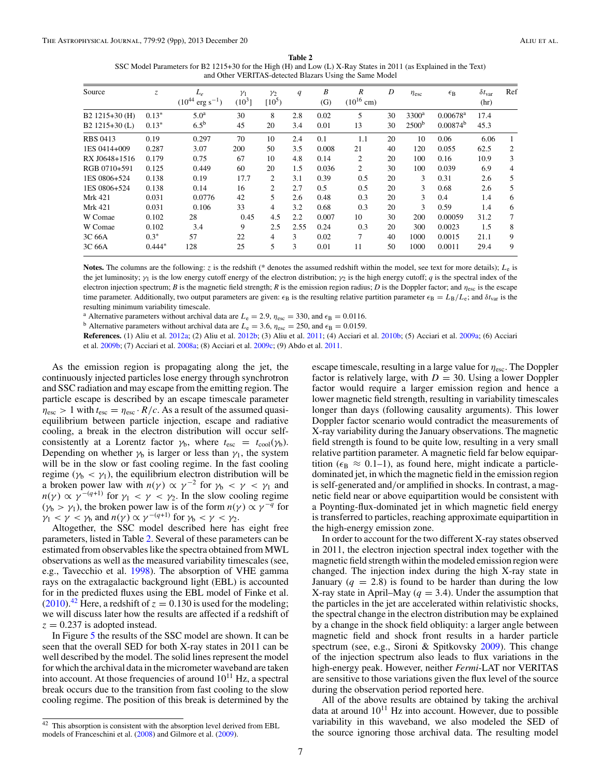**Table 2** SSC Model Parameters for B2 1215+30 for the High (H) and Low (L) X-Ray States in 2011 (as Explained in the Text) and Other VERITAS-detected Blazars Using the Same Model

<span id="page-8-0"></span>

| Source           | Z.       | $L_e$<br>$(10^{44} \text{ erg s}^{-1})$ | $\gamma_1$<br>$(10^3)$ | $\gamma_2$<br>$[10^5]$ | $\boldsymbol{q}$ | B<br>(G) | R<br>$(10^{16}$ cm) | D  | $\eta_{\rm esc}$  | $\epsilon_{\rm B}$     | $\delta t_{\rm var}$<br>(hr) | Ref            |
|------------------|----------|-----------------------------------------|------------------------|------------------------|------------------|----------|---------------------|----|-------------------|------------------------|------------------------------|----------------|
| B2 1215+30 (H)   | $0.13*$  | 5.0 <sup>a</sup>                        | 30                     | 8                      | 2.8              | 0.02     | 5                   | 30 | $3300^a$          | $0.00678$ <sup>a</sup> | 17.4                         |                |
| B2 $1215+30$ (L) | $0.13*$  | 6.5 <sup>b</sup>                        | 45                     | 20                     | 3.4              | 0.01     | 13                  | 30 | 2500 <sup>b</sup> | 0.00874 <sup>b</sup>   | 45.3                         |                |
| <b>RBS 0413</b>  | 0.19     | 0.297                                   | 70                     | 10                     | 2.4              | 0.1      | 1.1                 | 20 | 10                | 0.06                   | 6.06                         |                |
| 1ES 0414+009     | 0.287    | 3.07                                    | 200                    | 50                     | 3.5              | 0.008    | 21                  | 40 | 120               | 0.055                  | 62.5                         | 2              |
| RX J0648+1516    | 0.179    | 0.75                                    | 67                     | 10                     | 4.8              | 0.14     | 2                   | 20 | 100               | 0.16                   | 10.9                         | 3              |
| RGB 0710+591     | 0.125    | 0.449                                   | 60                     | 20                     | 1.5              | 0.036    | 2                   | 30 | 100               | 0.039                  | 6.9                          | $\overline{4}$ |
| 1ES 0806+524     | 0.138    | 0.19                                    | 17.7                   | $\overline{c}$         | 3.1              | 0.39     | 0.5                 | 20 | 3                 | 0.31                   | 2.6                          | 5              |
| 1ES 0806+524     | 0.138    | 0.14                                    | 16                     | 2                      | 2.7              | 0.5      | 0.5                 | 20 | 3                 | 0.68                   | 2.6                          | 5              |
| <b>Mrk 421</b>   | 0.031    | 0.0776                                  | 42                     | 5                      | 2.6              | 0.48     | 0.3                 | 20 | 3                 | 0.4                    | 1.4                          | 6              |
| Mrk 421          | 0.031    | 0.106                                   | 33                     | 4                      | 3.2              | 0.68     | 0.3                 | 20 | 3                 | 0.59                   | 1.4                          | 6              |
| W Comae          | 0.102    | 28                                      | 0.45                   | 4.5                    | 2.2              | 0.007    | 10                  | 30 | 200               | 0.00059                | 31.2                         | 7              |
| W Comae          | 0.102    | 3.4                                     | 9                      | 2.5                    | 2.55             | 0.24     | 0.3                 | 20 | 300               | 0.0023                 | 1.5                          | 8              |
| 3C 66A           | $0.3*$   | 57                                      | 22                     | 4                      | 3                | 0.02     | 7                   | 40 | 1000              | 0.0015                 | 21.1                         | 9              |
| 3C 66A           | $0.444*$ | 128                                     | 25                     | 5                      | 3                | 0.01     | 11                  | 50 | 1000              | 0.0011                 | 29.4                         | 9              |

**Notes.** The columns are the following: *z* is the redshift (\* denotes the assumed redshift within the model, see text for more details); *L*<sup>e</sup> is the jet luminosity;  $\gamma_1$  is the low energy cutoff energy of the electron distribution;  $\gamma_2$  is the high energy cutoff; *q* is the spectral index of the electron injection spectrum; *B* is the magnetic field strength; *R* is the emission region radius; *D* is the Doppler factor; and  $\eta_{\text{esc}}$  is the escape time parameter. Additionally, two output parameters are given:  $\epsilon_B$  is the resulting relative partition parameter  $\epsilon_B = L_B/L_e$ ; and  $\delta t_{\rm var}$  is the resulting minimum variability timescale.

<sup>a</sup> Alternative parameters without archival data are  $L_e = 2.9$ ,  $\eta_{\text{esc}} = 330$ , and  $\epsilon_B = 0.0116$ .<br><sup>b</sup> Alternative parameters without archival data are  $L_e = 3.6$ ,  $\eta_{\text{esc}} = 250$ , and  $\epsilon_B = 0.0159$ .

**References.** (1) Aliu et al. [2012a;](#page-10-0) (2) Aliu et al. [2012b;](#page-10-0) (3) Aliu et al. [2011;](#page-10-0) (4) Acciari et al. [2010b;](#page-10-0) (5) Acciari et al. [2009a;](#page-10-0) (6) Acciari et al. [2009b;](#page-10-0) (7) Acciari et al. [2008a;](#page-10-0) (8) Acciari et al. [2009c;](#page-10-0) (9) Abdo et al. [2011.](#page-10-0)

As the emission region is propagating along the jet, the continuously injected particles lose energy through synchrotron and SSC radiation and may escape from the emitting region. The particle escape is described by an escape timescale parameter  $\eta_{\text{esc}} > 1$  with  $t_{\text{esc}} = \eta_{\text{esc}} \cdot R/c$ . As a result of the assumed quasiequilibrium between particle injection, escape and radiative cooling, a break in the electron distribution will occur selfconsistently at a Lorentz factor  $\gamma_b$ , where  $t_{\rm esc} = t_{\rm cool}(\gamma_b)$ . Depending on whether  $\gamma_b$  is larger or less than  $\gamma_1$ , the system will be in the slow or fast cooling regime. In the fast cooling regime ( $\gamma_b < \gamma_1$ ), the equilibrium electron distribution will be a broken power law with  $n(\gamma) \propto \gamma^{-2}$  for  $\gamma_b < \gamma < \gamma_1$  and  $n(\gamma) \propto \gamma^{-(q+1)}$  for  $\gamma_1 < \gamma < \gamma_2$ . In the slow cooling regime  $(\gamma_b > \gamma_1)$ , the broken power law is of the form  $n(\gamma) \propto \gamma^{-q}$  for *γ*<sub>1</sub> < *γ* < *γ*<sub>b</sub> and *n*(*γ*) ∝ *γ*<sup>-(*q*+1)</sup> for *γ*<sub>b</sub> < *γ* < *γ*<sub>2</sub>. Altogether, the SSC model described here has eight free

parameters, listed in Table 2. Several of these parameters can be estimated from observables like the spectra obtained from MWL observations as well as the measured variability timescales (see, e.g., Tavecchio et al. [1998\)](#page-10-0). The absorption of VHE gamma rays on the extragalactic background light (EBL) is accounted for in the predicted fluxes using the EBL model of Finke et al.  $(2010).<sup>42</sup>$  $(2010).<sup>42</sup>$  Here, a redshift of  $z = 0.130$  is used for the modeling; we will discuss later how the results are affected if a redshift of  $z = 0.237$  is adopted instead.

In Figure [5](#page-7-0) the results of the SSC model are shown. It can be seen that the overall SED for both X-ray states in 2011 can be well described by the model. The solid lines represent the model for which the archival data in the micrometer waveband are taken into account. At those frequencies of around  $10^{11}$  Hz, a spectral break occurs due to the transition from fast cooling to the slow cooling regime. The position of this break is determined by the escape timescale, resulting in a large value for *η*esc. The Doppler factor is relatively large, with  $D = 30$ . Using a lower Doppler factor would require a larger emission region and hence a lower magnetic field strength, resulting in variability timescales longer than days (following causality arguments). This lower Doppler factor scenario would contradict the measurements of X-ray variability during the January observations. The magnetic field strength is found to be quite low, resulting in a very small relative partition parameter. A magnetic field far below equipartition ( $\epsilon_B \approx 0.1$ –1), as found here, might indicate a particledominated jet, in which the magnetic field in the emission region is self-generated and*/*or amplified in shocks. In contrast, a magnetic field near or above equipartition would be consistent with a Poynting-flux-dominated jet in which magnetic field energy is transferred to particles, reaching approximate equipartition in the high-energy emission zone.

In order to account for the two different X-ray states observed in 2011, the electron injection spectral index together with the magnetic field strength within the modeled emission region were changed. The injection index during the high X-ray state in January  $(q = 2.8)$  is found to be harder than during the low X-ray state in April–May ( $q = 3.4$ ). Under the assumption that the particles in the jet are accelerated within relativistic shocks, the spectral change in the electron distribution may be explained by a change in the shock field obliquity: a larger angle between magnetic field and shock front results in a harder particle spectrum (see, e.g., Sironi & Spitkovsky [2009\)](#page-10-0). This change of the injection spectrum also leads to flux variations in the high-energy peak. However, neither *Fermi*-LAT nor VERITAS are sensitive to those variations given the flux level of the source during the observation period reported here.

All of the above results are obtained by taking the archival data at around  $10^{11}$  Hz into account. However, due to possible variability in this waveband, we also modeled the SED of the source ignoring those archival data. The resulting model

 $42$  This absorption is consistent with the absorption level derived from EBL models of Franceschini et al. [\(2008\)](#page-10-0) and Gilmore et al. [\(2009\)](#page-10-0).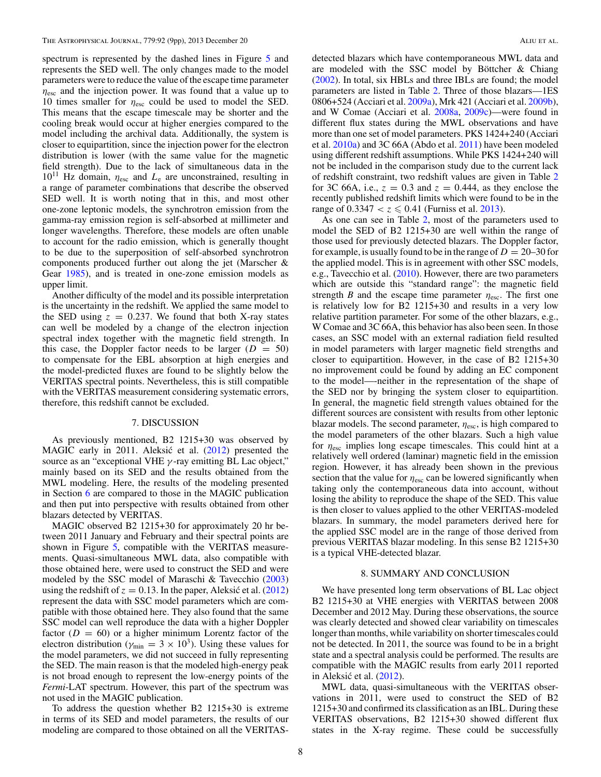spectrum is represented by the dashed lines in Figure [5](#page-7-0) and represents the SED well. The only changes made to the model parameters were to reduce the value of the escape time parameter *η*esc and the injection power. It was found that a value up to 10 times smaller for *η*esc could be used to model the SED. This means that the escape timescale may be shorter and the cooling break would occur at higher energies compared to the model including the archival data. Additionally, the system is closer to equipartition, since the injection power for the electron distribution is lower (with the same value for the magnetic field strength). Due to the lack of simultaneous data in the  $10^{11}$  Hz domain,  $\eta_{\text{esc}}$  and  $L_{\text{e}}$  are unconstrained, resulting in a range of parameter combinations that describe the observed SED well. It is worth noting that in this, and most other one-zone leptonic models, the synchrotron emission from the gamma-ray emission region is self-absorbed at millimeter and longer wavelengths. Therefore, these models are often unable to account for the radio emission, which is generally thought to be due to the superposition of self-absorbed synchrotron components produced further out along the jet (Marscher & Gear [1985\)](#page-10-0), and is treated in one-zone emission models as upper limit.

Another difficulty of the model and its possible interpretation is the uncertainty in the redshift. We applied the same model to the SED using  $z = 0.237$ . We found that both X-ray states can well be modeled by a change of the electron injection spectral index together with the magnetic field strength. In this case, the Doppler factor needs to be larger  $(D = 50)$ to compensate for the EBL absorption at high energies and the model-predicted fluxes are found to be slightly below the VERITAS spectral points. Nevertheless, this is still compatible with the VERITAS measurement considering systematic errors, therefore, this redshift cannot be excluded.

# 7. DISCUSSION

As previously mentioned, B2 1215+30 was observed by MAGIC early in 2011. Aleksić et al. ([2012\)](#page-10-0) presented the source as an "exceptional VHE *γ* -ray emitting BL Lac object," mainly based on its SED and the results obtained from the MWL modeling. Here, the results of the modeling presented in Section [6](#page-7-0) are compared to those in the MAGIC publication and then put into perspective with results obtained from other blazars detected by VERITAS.

MAGIC observed B2 1215+30 for approximately 20 hr between 2011 January and February and their spectral points are shown in Figure [5,](#page-7-0) compatible with the VERITAS measurements. Quasi-simultaneous MWL data, also compatible with those obtained here, were used to construct the SED and were modeled by the SSC model of Maraschi & Tavecchio [\(2003\)](#page-10-0) using the redshift of  $z = 0.13$ . In the paper, Aleksic et al. ([2012\)](#page-10-0) represent the data with SSC model parameters which are compatible with those obtained here. They also found that the same SSC model can well reproduce the data with a higher Doppler factor  $(D = 60)$  or a higher minimum Lorentz factor of the electron distribution ( $\gamma_{\text{min}} = 3 \times 10^3$ ). Using these values for the model parameters, we did not succeed in fully representing the SED. The main reason is that the modeled high-energy peak is not broad enough to represent the low-energy points of the *Fermi*-LAT spectrum. However, this part of the spectrum was not used in the MAGIC publication.

To address the question whether B2 1215+30 is extreme in terms of its SED and model parameters, the results of our modeling are compared to those obtained on all the VERITAS-

detected blazars which have contemporaneous MWL data and are modeled with the SSC model by Böttcher  $&$  Chiang [\(2002\)](#page-10-0). In total, six HBLs and three IBLs are found; the model parameters are listed in Table [2.](#page-8-0) Three of those blazars—1ES 0806+524 (Acciari et al. [2009a\)](#page-10-0), Mrk 421 (Acciari et al. [2009b\)](#page-10-0), and W Comae (Acciari et al. [2008a,](#page-10-0) [2009c\)](#page-10-0)—were found in different flux states during the MWL observations and have more than one set of model parameters. PKS 1424+240 (Acciari et al. [2010a\)](#page-10-0) and 3C 66A (Abdo et al. [2011\)](#page-10-0) have been modeled using different redshift assumptions. While PKS 1424+240 will not be included in the comparison study due to the current lack of redshift constraint, two redshift values are given in Table [2](#page-8-0) for 3C 66A, i.e.,  $z = 0.3$  and  $z = 0.444$ , as they enclose the recently published redshift limits which were found to be in the range of  $0.3347 < z \le 0.41$  (Furniss et al. [2013\)](#page-10-0).

As one can see in Table [2,](#page-8-0) most of the parameters used to model the SED of B2 1215+30 are well within the range of those used for previously detected blazars. The Doppler factor, for example, is usually found to be in the range of  $D = 20-30$  for the applied model. This is in agreement with other SSC models, e.g., Tavecchio et al. [\(2010\)](#page-10-0). However, there are two parameters which are outside this "standard range": the magnetic field strength *B* and the escape time parameter  $\eta_{\text{esc}}$ . The first one is relatively low for B2 1215+30 and results in a very low relative partition parameter. For some of the other blazars, e.g., W Comae and 3C 66A, this behavior has also been seen. In those cases, an SSC model with an external radiation field resulted in model parameters with larger magnetic field strengths and closer to equipartition. However, in the case of B2 1215+30 no improvement could be found by adding an EC component to the model—-neither in the representation of the shape of the SED nor by bringing the system closer to equipartition. In general, the magnetic field strength values obtained for the different sources are consistent with results from other leptonic blazar models. The second parameter, *η*esc, is high compared to the model parameters of the other blazars. Such a high value for *η*esc implies long escape timescales. This could hint at a relatively well ordered (laminar) magnetic field in the emission region. However, it has already been shown in the previous section that the value for  $\eta_{\rm esc}$  can be lowered significantly when taking only the contemporaneous data into account, without losing the ability to reproduce the shape of the SED. This value is then closer to values applied to the other VERITAS-modeled blazars. In summary, the model parameters derived here for the applied SSC model are in the range of those derived from previous VERITAS blazar modeling. In this sense B2 1215+30 is a typical VHE-detected blazar.

## 8. SUMMARY AND CONCLUSION

We have presented long term observations of BL Lac object B2 1215+30 at VHE energies with VERITAS between 2008 December and 2012 May. During these observations, the source was clearly detected and showed clear variability on timescales longer than months, while variability on shorter timescales could not be detected. In 2011, the source was found to be in a bright state and a spectral analysis could be performed. The results are compatible with the MAGIC results from early 2011 reported in Aleksić et al.  $(2012)$  $(2012)$ .

MWL data, quasi-simultaneous with the VERITAS observations in 2011, were used to construct the SED of B2 1215+30 and confirmed its classification as an IBL. During these VERITAS observations, B2 1215+30 showed different flux states in the X-ray regime. These could be successfully